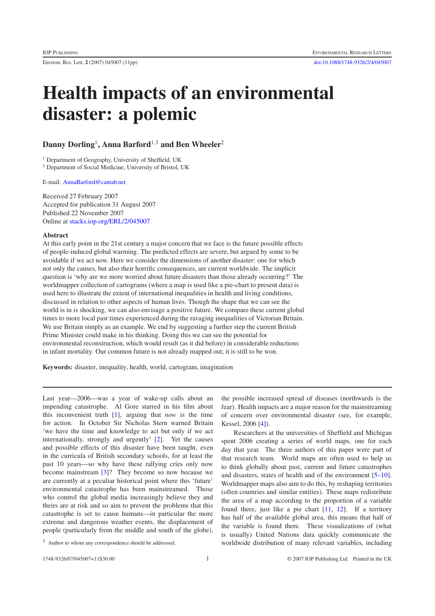## **Health impacts of an environmental disaster: a polemic**

## **Danny Dorling**<sup>1</sup>**, Anna Barford**<sup>1</sup>*,*<sup>3</sup> **and Ben Wheeler**<sup>2</sup>

<sup>1</sup> Department of Geography, University of Sheffield, UK

<sup>2</sup> Department of Social Medicine, University of Bristol, UK

E-mail: [AnnaBarford@cantab.net](mailto:AnnaBarford@cantab.net)

Received 27 February 2007 Accepted for publication 31 August 2007 Published 22 November 2007 Online at [stacks.iop.org/ERL/2/045007](http://stacks.iop.org/ERL/2/045007)

## **Abstract**

At this early point in the 21st century a major concern that we face is the future possible effects of people-induced global warming. The predicted effects are severe, but argued by some to be avoidable if we act now. Here we consider the dimensions of another disaster: one for which not only the causes, but also their horrific consequences, are current worldwide. The implicit question is 'why are we more worried about future disasters than those already occurring?' The worldmapper collection of cartograms (where a map is used like a pie-chart to present data) is used here to illustrate the extent of international inequalities in health and living conditions, discussed in relation to other aspects of human lives. Though the shape that we can see the world is in is shocking, we can also envisage a positive future. We compare these current global times to more local past times experienced during the ravaging inequalities of Victorian Britain. We use Britain simply as an example. We end by suggesting a further step the current British Prime Minister could make in his thinking. Doing this we can see the potential for environmental reconstruction, which would result (as it did before) in considerable reductions in infant mortality. Our common future is not already mapped out; it is still to be won.

**Keywords:** disaster, inequality, health, world, cartogram, imagination

Last year—2006—was a year of wake-up calls about an impending catastrophe. Al Gore starred in his film about this inconvenient truth [\[1\]](#page-5-0), arguing that *now* is the time for action. In October Sir Nicholas Stern warned Britain 'we have the time and knowledge to act but only if we act internationally, strongly and urgently' [\[2\]](#page-6-0). Yet the causes and possible effects of this disaster have been taught, even in the curricula of British secondary schools, for at least the past 10 years—so why have these rallying cries only now become mainstream [\[3\]](#page-6-1)? They become so now because we are currently at a peculiar historical point where this 'future' environmental catastrophe has been mainstreamed. Those who control the global media increasingly believe they and theirs are at risk and so aim to prevent the problems that this catastrophe is set to cause humans—in particular the more extreme and dangerous weather events, the displacement of people (particularly from the middle and south of the globe),

the possible increased spread of diseases (northwards is the fear). Health impacts are a major reason for the mainstreaming of concern over environmental disaster (see, for example, Kessel, 2006 [\[4\]](#page-6-2)).

Researchers at the universities of Sheffield and Michigan spent 2006 creating a series of world maps, one for each day that year. The three authors of this paper were part of that research team. World maps are often used to help us to think globally about past, current and future catastrophes and disasters, states of health and of the environment [\[5–10\]](#page-6-3). Worldmapper maps also aim to do this, by reshaping territories (often countries and similar entities). These maps redistribute the area of a map according to the proportion of a variable found there, just like a pie chart [\[11,](#page-6-4) [12\]](#page-6-5). If a territory has half of the available global area, this means that half of the variable is found there. These visualizations of (what is usually) United Nations data quickly communicate the worldwide distribution of many relevant variables, including

<sup>3</sup> Author to whom any correspondence should be addressed.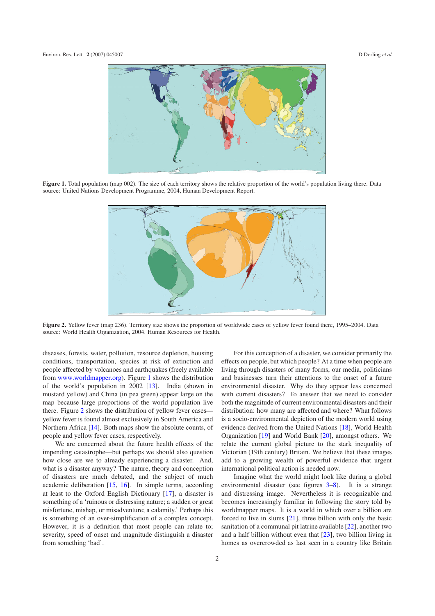<span id="page-1-0"></span>

<span id="page-1-1"></span>Figure 1. Total population (map 002). The size of each territory shows the relative proportion of the world's population living there. Data source: United Nations Development Programme, 2004, Human Development Report.



**Figure 2.** Yellow fever (map 236). Territory size shows the proportion of worldwide cases of yellow fever found there, 1995–2004. Data source: World Health Organization, 2004. Human Resources for Health.

diseases, forests, water, pollution, resource depletion, housing conditions, transportation, species at risk of extinction and people affected by volcanoes and earthquakes (freely available from [www.worldmapper.org\)](http://www.worldmapper.org). Figure [1](#page-1-0) shows the distribution of the world's population in 2002 [\[13\]](#page-6-6). India (shown in mustard yellow) and China (in pea green) appear large on the map because large proportions of the world population live there. Figure [2](#page-1-1) shows the distribution of yellow fever cases yellow fever is found almost exclusively in South America and Northern Africa [\[14\]](#page-6-7). Both maps show the absolute counts, of people and yellow fever cases, respectively.

We are concerned about the future health effects of the impending catastrophe—but perhaps we should also question how close are we to already experiencing a disaster. And, what is a disaster anyway? The nature, theory and conception of disasters are much debated, and the subject of much academic deliberation [\[15,](#page-6-8) [16\]](#page-6-9). In simple terms, according at least to the Oxford English Dictionary [\[17\]](#page-6-10), a disaster is something of a 'ruinous or distressing nature; a sudden or great misfortune, mishap, or misadventure; a calamity.' Perhaps this is something of an over-simplification of a complex concept. However, it is a definition that most people can relate to; severity, speed of onset and magnitude distinguish a disaster from something 'bad'.

For this conception of a disaster, we consider primarily the effects on people, but which people? At a time when people are living through disasters of many forms, our media, politicians and businesses turn their attentions to the onset of a future environmental disaster. Why do they appear less concerned with current disasters? To answer that we need to consider both the magnitude of current environmental disasters and their distribution: how many are affected and where? What follows is a socio-environmental depiction of the modern world using evidence derived from the United Nations [\[18\]](#page-6-11), World Health Organization [\[19\]](#page-6-12) and World Bank [\[20\]](#page-6-12), amongst others. We relate the current global picture to the stark inequality of Victorian (19th century) Britain. We believe that these images add to a growing wealth of powerful evidence that urgent international political action is needed now.

Imagine what the world might look like during a global environmental disaster (see figures [3–](#page-2-0)[8\)](#page-4-0). It is a strange and distressing image. Nevertheless it is recognizable and becomes increasingly familiar in following the story told by worldmapper maps. It is a world in which over a billion are forced to live in slums [\[21\]](#page-6-13), three billion with only the basic sanitation of a communal pit latrine available [\[22\]](#page-7-0), another two and a half billion without even that [\[23\]](#page-7-1), two billion living in homes as overcrowded as last seen in a country like Britain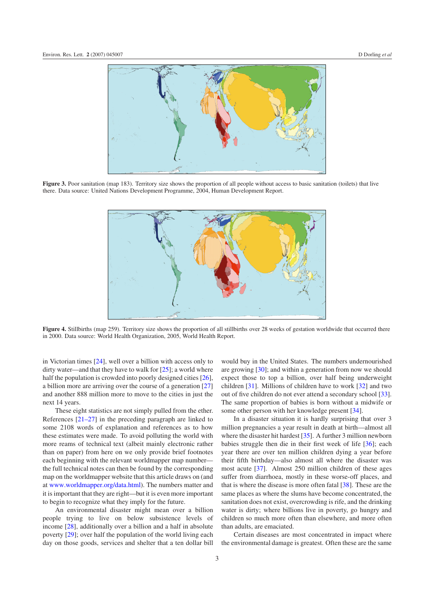<span id="page-2-0"></span>

**Figure 3.** Poor sanitation (map 183). Territory size shows the proportion of all people without access to basic sanitation (toilets) that live there. Data source: United Nations Development Programme, 2004, Human Development Report.



Figure 4. Stillbirths (map 259). Territory size shows the proportion of all stillbirths over 28 weeks of gestation worldwide that occurred there in 2000. Data source: World Health Organization, 2005, World Health Report.

in Victorian times [\[24\]](#page-7-2), well over a billion with access only to dirty water—and that they have to walk for  $[25]$ ; a world where half the population is crowded into poorly designed cities [\[26\]](#page-8-0), a billion more are arriving over the course of a generation [\[27\]](#page-8-1) and another 888 million more to move to the cities in just the next 14 years.

These eight statistics are not simply pulled from the ether. References [\[21–27\]](#page-6-13) in the preceding paragraph are linked to some 2108 words of explanation and references as to how these estimates were made. To avoid polluting the world with more reams of technical text (albeit mainly electronic rather than on paper) from here on we only provide brief footnotes each beginning with the relevant worldmapper map number the full technical notes can then be found by the corresponding map on the worldmapper website that this article draws on (and at [www.worldmapper.org/data.html\)](http://www.worldmapper.org/data.html). The numbers matter and it is important that they are right—but it is even more important to begin to recognize what they imply for the future.

An environmental disaster might mean over a billion people trying to live on below subsistence levels of income [\[28\]](#page-8-2), additionally over a billion and a half in absolute poverty [\[29\]](#page-8-3); over half the population of the world living each day on those goods, services and shelter that a ten dollar bill

would buy in the United States. The numbers undernourished are growing [\[30\]](#page-8-4); and within a generation from now we should expect those to top a billion, over half being underweight children [\[31\]](#page-8-5). Millions of children have to work [\[32\]](#page-8-6) and two out of five children do not ever attend a secondary school [\[33\]](#page-8-7). The same proportion of babies is born without a midwife or some other person with her knowledge present [\[34\]](#page-8-8).

In a disaster situation it is hardly surprising that over 3 million pregnancies a year result in death at birth—almost all where the disaster hit hardest [\[35\]](#page-8-9). A further 3 million newborn babies struggle then die in their first week of life [\[36\]](#page-8-10); each year there are over ten million children dying a year before their fifth birthday—also almost all where the disaster was most acute [\[37\]](#page-8-11). Almost 250 million children of these ages suffer from diarrhoea, mostly in these worse-off places, and that is where the disease is more often fatal [\[38\]](#page-8-12). These are the same places as where the slums have become concentrated, the sanitation does not exist, overcrowding is rife, and the drinking water is dirty; where billions live in poverty, go hungry and children so much more often than elsewhere, and more often than adults, are emaciated.

Certain diseases are most concentrated in impact where the environmental damage is greatest. Often these are the same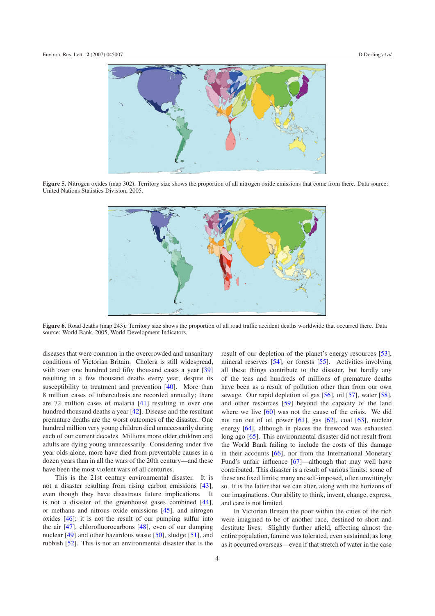

**Figure 5.** Nitrogen oxides (map 302). Territory size shows the proportion of all nitrogen oxide emissions that come from there. Data source: United Nations Statistics Division, 2005.



**Figure 6.** Road deaths (map 243). Territory size shows the proportion of all road traffic accident deaths worldwide that occurred there. Data source: World Bank, 2005, World Development Indicators.

diseases that were common in the overcrowded and unsanitary conditions of Victorian Britain. Cholera is still widespread, with over one hundred and fifty thousand cases a year [\[39\]](#page-8-13) resulting in a few thousand deaths every year, despite its susceptibility to treatment and prevention [\[40\]](#page-8-14). More than 8 million cases of tuberculosis are recorded annually; there are 72 million cases of malaria [\[41\]](#page-8-15) resulting in over one hundred thousand deaths a year [\[42\]](#page-8-16). Disease and the resultant premature deaths are the worst outcomes of the disaster. One hundred million very young children died unnecessarily during each of our current decades. Millions more older children and adults are dying young unnecessarily. Considering under five year olds alone, more have died from preventable causes in a dozen years than in all the wars of the 20th century—and these have been the most violent wars of all centuries.

This is the 21st century environmental disaster. It is not a disaster resulting from rising carbon emissions [\[43\]](#page-8-17), even though they have disastrous future implications. It is not a disaster of the greenhouse gases combined [\[44\]](#page-8-18), or methane and nitrous oxide emissions [\[45\]](#page-8-19), and nitrogen oxides [\[46\]](#page-8-20); it is not the result of our pumping sulfur into the air [\[47\]](#page-8-21), chlorofluorocarbons [\[48\]](#page-8-22), even of our dumping nuclear [\[49\]](#page-8-23) and other hazardous waste [\[50\]](#page-8-24), sludge [\[51\]](#page-8-25), and rubbish [\[52\]](#page-8-26). This is not an environmental disaster that is the result of our depletion of the planet's energy resources [\[53\]](#page-8-27), mineral reserves [\[54\]](#page-8-28), or forests [\[55\]](#page-8-29). Activities involving all these things contribute to the disaster, but hardly any of the tens and hundreds of millions of premature deaths have been as a result of pollution other than from our own sewage. Our rapid depletion of gas [\[56\]](#page-8-30), oil [\[57\]](#page-8-31), water [\[58\]](#page-8-32), and other resources [\[59\]](#page-9-0) beyond the capacity of the land where we live [\[60\]](#page-9-1) was not the cause of the crisis. We did not run out of oil power [\[61\]](#page-9-2), gas [\[62\]](#page-9-3), coal [\[63\]](#page-9-4), nuclear energy [\[64\]](#page-9-5), although in places the firewood was exhausted long ago [\[65\]](#page-9-6). This environmental disaster did not result from the World Bank failing to include the costs of this damage in their accounts [\[66\]](#page-9-7), nor from the International Monetary Fund's unfair influence [\[67\]](#page-9-8)—although that may well have contributed. This disaster is a result of various limits: some of these are fixed limits; many are self-imposed, often unwittingly so. It is the latter that we can alter, along with the horizons of our imaginations. Our ability to think, invent, change, express, and care is not limited.

In Victorian Britain the poor within the cities of the rich were imagined to be of another race, destined to short and destitute lives. Slightly further afield, affecting almost the entire population, famine was tolerated, even sustained, as long as it occurred overseas—even if that stretch of water in the case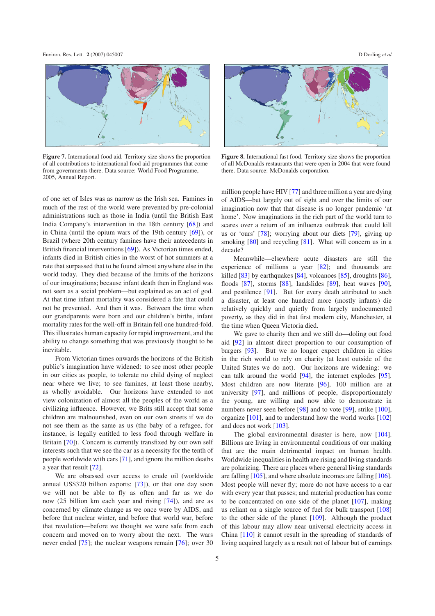

**Figure 7.** International food aid. Territory size shows the proportion of all contributions to international food aid programmes that come from governments there. Data source: World Food Programme, 2005, Annual Report.

of one set of Isles was as narrow as the Irish sea. Famines in much of the rest of the world were prevented by pre-colonial administrations such as those in India (until the British East India Company's intervention in the 18th century [\[68\]](#page-9-9)) and in China (until the opium wars of the 19th century [\[69\]](#page-9-10)), or Brazil (where 20th century famines have their antecedents in British financial interventions [\[69\]](#page-9-10)). As Victorian times ended, infants died in British cities in the worst of hot summers at a rate that surpassed that to be found almost anywhere else in the world today. They died because of the limits of the horizons of our imaginations; because infant death then in England was not seen as a social problem—but explained as an act of god. At that time infant mortality was considered a fate that could not be prevented. And then it was. Between the time when our grandparents were born and our children's births, infant mortality rates for the well-off in Britain fell one hundred-fold. This illustrates human capacity for rapid improvement, and the ability to change something that was previously thought to be inevitable.

From Victorian times onwards the horizons of the British public's imagination have widened: to see most other people in our cities as people, to tolerate no child dying of neglect near where we live; to see famines, at least those nearby, as wholly avoidable. Our horizons have extended to not view colonization of almost all the peoples of the world as a civilizing influence. However, we Brits still accept that some children are malnourished, even on our own streets if we do not see them as the same as us (the baby of a refugee, for instance, is legally entitled to less food through welfare in Britain [\[70\]](#page-9-11)). Concern is currently transfixed by our own self interests such that we see the car as a necessity for the tenth of people worldwide with cars [\[71\]](#page-9-12), and ignore the million deaths a year that result [\[72\]](#page-9-13).

We are obsessed over access to crude oil (worldwide annual US\$320 billion exports: [\[73\]](#page-9-14)), or that one day soon we will not be able to fly as often and far as we do now (25 billion km each year and rising [\[74\]](#page-9-15)), and are as concerned by climate change as we once were by AIDS, and before that nuclear winter, and before that world war, before that revolution—before we thought we were safe from each concern and moved on to worry about the next. The wars never ended [\[75\]](#page-9-16); the nuclear weapons remain [\[76\]](#page-9-17); over 30

<span id="page-4-0"></span>

**Figure 8.** International fast food. Territory size shows the proportion of all McDonalds restaurants that were open in 2004 that were found there. Data source: McDonalds corporation.

million people have HIV [\[77\]](#page-9-18) and three million a year are dying of AIDS—but largely out of sight and over the limits of our imagination now that that disease is no longer pandemic 'at home'. Now imaginations in the rich part of the world turn to scares over a return of an influenza outbreak that could kill us or 'ours' [\[78\]](#page-9-19); worrying about our diets [\[79\]](#page-9-20), giving up smoking [\[80\]](#page-9-21) and recycling [\[81\]](#page-9-22). What will concern us in a decade?

Meanwhile—elsewhere acute disasters are still the experience of millions a year [\[82\]](#page-9-23); and thousands are killed [\[83\]](#page-9-24) by earthquakes [\[84\]](#page-9-25), volcanoes [\[85\]](#page-9-26), droughts [\[86\]](#page-9-27), floods [\[87\]](#page-9-28), storms [\[88\]](#page-9-29), landslides [\[89\]](#page-9-30), heat waves [\[90\]](#page-9-31), and pestilence [\[91\]](#page-9-32). But for every death attributed to such a disaster, at least one hundred more (mostly infants) die relatively quickly and quietly from largely undocumented poverty, as they did in that first modern city, Manchester, at the time when Queen Victoria died.

We gave to charity then and we still do—doling out food aid [\[92\]](#page-9-33) in almost direct proportion to our consumption of burgers [\[93\]](#page-9-34). But we no longer expect children in cities in the rich world to rely on charity (at least outside of the United States we do not). Our horizons are widening: we can talk around the world [\[94\]](#page-9-35), the internet explodes [\[95\]](#page-9-36). Most children are now literate [\[96\]](#page-9-37), 100 million are at university [\[97\]](#page-9-38), and millions of people, disproportionately the young, are willing and now able to demonstrate in numbers never seen before [\[98\]](#page-9-39) and to vote [\[99\]](#page-9-40), strike [\[100\]](#page-9-41), organize [\[101\]](#page-9-42), and to understand how the world works [\[102\]](#page-9-43) and does not work [\[103\]](#page-9-44).

The global environmental disaster is here, now [\[104\]](#page-9-45). Billions are living in environmental conditions of our making that are the main detrimental impact on human health. Worldwide inequalities in health are rising and living standards are polarizing. There are places where general living standards are falling [\[105\]](#page-9-46), and where absolute incomes are falling [\[106\]](#page-9-47). Most people will never fly; more do not have access to a car with every year that passes; and material production has come to be concentrated on one side of the planet [\[107\]](#page-9-48), making us reliant on a single source of fuel for bulk transport [\[108\]](#page-9-49) to the other side of the planet [\[109\]](#page-9-50). Although the product of this labour may allow near universal electricity access in China [\[110\]](#page-9-51) it cannot result in the spreading of standards of living acquired largely as a result not of labour but of earnings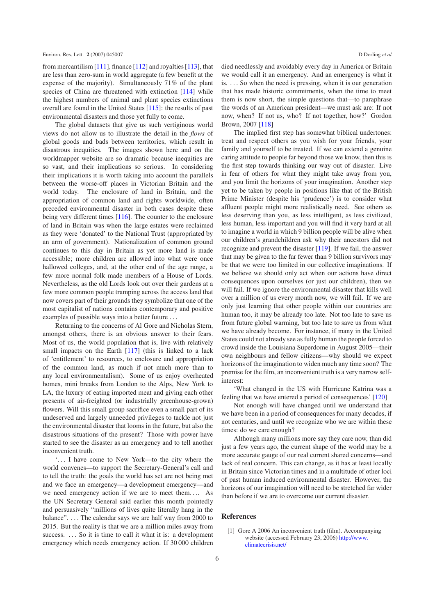from mercantilism [\[111\]](#page-9-52), finance [\[112\]](#page-9-53) and royalties [\[113\]](#page-9-54), that are less than zero-sum in world aggregate (a few benefit at the expense of the majority). Simultaneously 71% of the plant species of China are threatened with extinction [\[114\]](#page-9-55) while the highest numbers of animal and plant species extinctions overall are found in the United States [\[115\]](#page-10-0): the results of past environmental disasters and those yet fully to come.

The global datasets that give us such vertiginous world views do not allow us to illustrate the detail in the *flows* of global goods and bads between territories, which result in disastrous inequities. The images shown here and on the worldmapper website are so dramatic because inequities are so vast, and their implications so serious. In considering their implications it is worth taking into account the parallels between the worse-off places in Victorian Britain and the world today. The enclosure of land in Britain, and the appropriation of common land and rights worldwide, often preceded environmental disaster in both cases despite these being very different times [\[116\]](#page-10-1). The counter to the enclosure of land in Britain was when the large estates were reclaimed as they were 'donated' to the National Trust (appropriated by an arm of government). Nationalization of common ground continues to this day in Britain as yet more land is made accessible; more children are allowed into what were once hallowed colleges, and, at the other end of the age range, a few more normal folk made members of a House of Lords. Nevertheless, as the old Lords look out over their gardens at a few more common people tramping across the access land that now covers part of their grounds they symbolize that one of the most capitalist of nations contains contemporary and positive examples of possible ways into a better future *...*

Returning to the concerns of Al Gore and Nicholas Stern, amongst others, there is an obvious answer to their fears. Most of us, the world population that is, live with relatively small impacts on the Earth [\[117\]](#page-10-2) (this is linked to a lack of 'entitlement' to resources, to enclosure and appropriation of the common land, as much if not much more than to any local environmentalism). Some of us enjoy overheated homes, mini breaks from London to the Alps, New York to LA, the luxury of eating imported meat and giving each other presents of air-freighted (or industrially greenhouse-grown) flowers. Will this small group sacrifice even a small part of its undeserved and largely unneeded privileges to tackle not just the environmental disaster that looms in the future, but also the disastrous situations of the present? Those with power have started to see the disaster as an emergency and to tell another inconvenient truth.

'*...* I have come to New York—to the city where the world convenes—to support the Secretary-General's call and to tell the truth: the goals the world has set are not being met and we face an emergency—a development emergency—and we need emergency action if we are to meet them*...*. As the UN Secretary General said earlier this month pointedly and persuasively "millions of lives quite literally hang in the balance". *...* The calendar says we are half way from 2000 to 2015. But the reality is that we are a million miles away from success. ... So it is time to call it what it is: a development emergency which needs emergency action. If 30 000 children

died needlessly and avoidably every day in America or Britain we would call it an emergency. And an emergency is what it is. *...* So when the need is pressing, when it is our generation that has made historic commitments, when the time to meet them is now short, the simple questions that—to paraphrase the words of an American president—we must ask are: If not now, when? If not us, who? If not together, how?' Gordon Brown, 2007 [\[118\]](#page-10-3)

The implied first step has somewhat biblical undertones: treat and respect others as you wish for your friends, your family and yourself to be treated. If we can extend a genuine caring attitude to people far beyond those we know, then this is the first step towards thinking our way out of disaster. Live in fear of others for what they might take away from you, and you limit the horizons of your imagination. Another step yet to be taken by people in positions like that of the British Prime Minister (despite his 'prudence') is to consider what affluent people might more realistically need. See others as less deserving than you, as less intelligent, as less civilized, less human, less important and you will find it very hard at all to imagine a world in which 9 billion people will be alive when our children's grandchildren ask why their ancestors did not recognize and prevent the disaster [\[119\]](#page-10-4). If we fail, the answer that may be given to the far fewer than 9 billion survivors may be that we were too limited in our collective imaginations. If we believe we should only act when our actions have direct consequences upon ourselves (or just our children), then we will fail. If we ignore the environmental disaster that kills well over a million of us every month now, we will fail. If we are only just learning that other people within our countries are human too, it may be already too late. Not too late to save us from future global warming, but too late to save us from what we have already become. For instance, if many in the United States could not already see as fully human the people forced to crowd inside the Louisiana Superdome in August 2005—their own neighbours and fellow citizens—why should we expect horizons of the imagination to widen much any time soon? The premise for the film, an inconvenient truth is a very narrow selfinterest:

'What changed in the US with Hurricane Katrina was a feeling that we have entered a period of consequences' [\[120\]](#page-10-5)

Not enough will have changed until we understand that we have been in a period of consequences for many decades, if not centuries, and until we recognize who we are within these times: do we care enough?

Although many millions more say they care now, than did just a few years ago, the current shape of the world may be a more accurate gauge of our real current shared concerns—and lack of real concern. This can change, as it has at least locally in Britain since Victorian times and in a multitude of other loci of past human induced environmental disaster. However, the horizons of our imagination will need to be stretched far wider than before if we are to overcome our current disaster.

## <span id="page-5-0"></span>**References**

[1] Gore A 2006 An inconvenient truth (film). Accompanying website (accessed February 23, 2006) [http://www.](http://www.climatecrisis.net/) [climatecrisis.net/](http://www.climatecrisis.net/)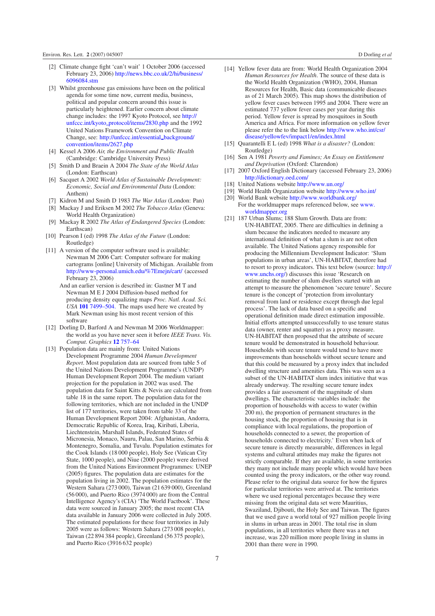- <span id="page-6-1"></span><span id="page-6-0"></span>[2] Climate change fight 'can't wait' 1 October 2006 (accessed February 23, 2006) [http://news.bbc.co.uk/2/hi/business/](http://news.bbc.co.uk/2/hi/business/6096084.stm) [6096084.stm](http://news.bbc.co.uk/2/hi/business/6096084.stm)
- <span id="page-6-3"></span><span id="page-6-2"></span>[3] Whilst greenhouse gas emissions have been on the political agenda for some time now, current media, business, political and popular concern around this issue is particularly heightened. Earlier concern about climate change includes: the 1997 Kyoto Protocol, see [http://](http://unfccc.int/kyoto_protocol/items/2830.php) [unfccc.int/kyoto](http://unfccc.int/kyoto_protocol/items/2830.php) [protocol/items/2830.php](http://unfccc.int/kyoto_protocol/items/2830.php) and the 1992 United Nations Framework Convention on Climate Change, see: [http://unfccc.int/essential](http://unfccc.int/essential_background/convention/items/2627.php) [background/](http://unfccc.int/essential_background/convention/items/2627.php) [convention/items/2627.php](http://unfccc.int/essential_background/convention/items/2627.php)
- [4] Kessel A 2006 *Air, the Environment and Public Health* (Cambridge: Cambridge University Press)
- [5] Smith D and Braein A 2004 *The State of the World Atlas* (London: Earthscan)
- [6] Sacquet A 2002 *World Atlas of Sustainable Development: Economic, Social and Environmental Data* (London: Anthem)
- <span id="page-6-4"></span>[7] Kidron M and Smith D 1983 *The War Atlas* (London: Pan)
- [8] Mackay J and Eriksen M 2002 *The Tobacco Atlas* (Geneva: World Health Organization)
- [9] Mackay R 2002 *The Atlas of Endangered Species* (London: Earthscan)
- [10] Pearson I (ed) 1998 *The Atlas of the Future* (London: Routledge)
- <span id="page-6-5"></span>[11] A version of the computer software used is available: Newman M 2006 Cart: Computer software for making cartograms [online] University of Michigan. Available from [http://www-personal.umich.edu/%7Emejn/cart/](http://www-personal.umich.edu/{%}7Emejn/cart/) (accessed February 23, 2006)
	- And an earlier version is described in: Gastner M T and Newman M E J 2004 Diffusion-based method for producing density equalizing maps *Proc. Natl. Acad. Sci. USA* **101** [7499–504.](http://dx.doi.org/10.1073/pnas.0400280101) The maps used here we created by Mark Newman using his most recent version of this software
- <span id="page-6-6"></span>[12] Dorling D, Barford A and Newman M 2006 Worldmapper: the world as you have never seen it before *IEEE Trans. Vis. Comput. Graphics* **12** [757–64](http://dx.doi.org/10.1109/TVCG.2006.202)
- [13] Population data are mainly from: United Nations Development Programme 2004 *Human Development Report*. Most population data are sourced from table 5 of the United Nations Development Programme's (UNDP) Human Development Report 2004. The medium variant projection for the population in 2002 was used. The population data for Saint Kitts & Nevis are calculated from table 18 in the same report. The population data for the following territories, which are not included in the UNDP list of 177 territories, were taken from table 33 of the Human Development Report 2004: Afghanistan, Andorra, Democratic Republic of Korea, Iraq, Kiribati, Liberia, Liechtenstein, Marshall Islands, Federated States of Micronesia, Monaco, Nauru, Palau, San Marino, Serbia & Montenegro, Somalia, and Tuvalu. Population estimates for the Cook Islands (18 000 people), Holy See (Vatican City State, 1000 people), and Niue (2000 people) were derived from the United Nations Environment Programmes: UNEP (2005) figures. The population data are estimates for the population living in 2002. The population estimates for the Western Sahara (273 000), Taiwan (21 639 000), Greenland (56 000), and Puerto Rico (3974 000) are from the Central Intelligence Agency's (CIA) 'The World Factbook'. These data were sourced in January 2005; the most recent CIA data available in January 2006 were collected in July 2005. The estimated populations for these four territories in July 2005 were as follows: Western Sahara (273 008 people), Taiwan (22 894 384 people), Greenland (56 375 people), and Puerto Rico (3916 632 people)
- <span id="page-6-8"></span><span id="page-6-7"></span>[14] Yellow fever data are from: World Health Organization 2004 *Human Resources for Health*. The source of these data is the World Health Organization (WHO), 2004, Human Resources for Health, Basic data (communicable diseases as of 21 March 2005). This map shows the distribution of yellow fever cases between 1995 and 2004. There were an estimated 737 yellow fever cases per year during this period. Yellow fever is spread by mosquitoes in South America and Africa. For more information on yellow fever please refer the to the link below [http://www.who.int/csr/](http://www.who.int/csr/disease/yellowfev/impact1/en/index.html) [disease/yellowfev/impact1/en/index.html](http://www.who.int/csr/disease/yellowfev/impact1/en/index.html)
- <span id="page-6-12"></span><span id="page-6-11"></span><span id="page-6-10"></span><span id="page-6-9"></span>[15] Quarantelli E L (ed) 1998 *What is a disaster?* (London: Routledge)
- [16] Sen A 1981 *Poverty and Famines; An Essay on Entitlement and Deprivation* (Oxford: Clarendon)
- <span id="page-6-13"></span>[17] 2007 Oxford English Dictionary (accessed February 23, 2006) <http://dictionary.oed.com/>
- [18] United Nations website <http://www.un.org/>
- [19] World Health Organization website <http://www.who.int/>
- [20] World Bank website <http://www.worldbank.org/> For the worldmapper maps referenced below, see [www.](http://www.worldmapper.org) [worldmapper.org](http://www.worldmapper.org)
- [21] 187 Urban Slums; 188 Slum Growth. Data are from: UN-HABITAT, 2005. There are difficulties in defining a slum because the indicators needed to measure any international definition of what a slum is are not often available. The United Nations agency responsible for producing the Millennium Development Indicator: 'Slum populations in urban areas', UN-HABITAT, therefore had to resort to proxy indicators. This text below (source: [http://](http://www.unchs.org/) [www.unchs.org/\)](http://www.unchs.org/) discusses this issue 'Research on estimating the number of slum dwellers started with an attempt to measure the phenomenon 'secure tenure'. Secure tenure is the concept of 'protection from involuntary removal from land or residence except through due legal process'. The lack of data based on a specific and operational definition made direct estimation impossible. Initial efforts attempted unsuccessfully to use tenure status data (owner, renter and squatter) as a proxy measure. UN-HABITAT then proposed that the attribute of secure tenure would be demonstrated in household behaviour. Households with secure tenure would tend to have more improvements than households without secure tenure and that this could be measured by a proxy index that included dwelling structure and amenities data. This was seen as a subset of the UN-HABITAT slum index initiative that was already underway. The resulting secure tenure index provides a fair assessment of the magnitude of slum dwellings. The characteristic variables include: the proportion of households with access to water (within 200 m), the proportion of permanent structures in the housing stock, the proportion of housing that is in compliance with local regulations, the proportion of households connected to a sewer, the proportion of households connected to electricity.' Even when lack of secure tenure is directly measurable, differences in legal systems and cultural attitudes may make the figures not strictly comparable. If they are available, in some territories they many not include many people which would have been counted using the proxy indicators, or the other way round. Please refer to the original data source for how the figures for particular territories were arrived at. The territories where we used regional percentages because they were missing from the original data set were Mauritius, Swaziland, Djibouti, the Holy See and Taiwan. The figures that we used gave a world total of 927 million people living in slums in urban areas in 2001. The total rise in slum populations, in all territories where there was a net increase, was 220 million more people living in slums in 2001 than there were in 1990.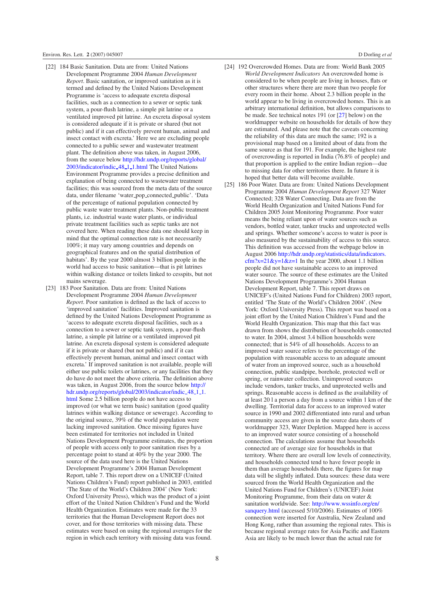- <span id="page-7-0"></span>[22] 184 Basic Sanitation. Data are from: United Nations Development Programme 2004 *Human Development Report*. Basic sanitation, or improved sanitation as it is termed and defined by the United Nations Development Programme is 'access to adequate excreta disposal facilities, such as a connection to a sewer or septic tank system, a pour-flush latrine, a simple pit latrine or a ventilated improved pit latrine. An excreta disposal system is considered adequate if it is private or shared (but not public) and if it can effectively prevent human, animal and insect contact with excreta.' Here we are excluding people connected to a public sewer and wastewater treatment plant. The definition above was taken, in August 2006, from the source below [http://hdr.undp.org/reports/global/](http://hdr.undp.org/reports/global/2003/indicator/indic_48_1_1.html) [2003/indicator/indic](http://hdr.undp.org/reports/global/2003/indicator/indic_48_1_1.html) [48](http://hdr.undp.org/reports/global/2003/indicator/indic_48_1_1.html) [1](http://hdr.undp.org/reports/global/2003/indicator/indic_48_1_1.html) [1.html](http://hdr.undp.org/reports/global/2003/indicator/indic_48_1_1.html) The United Nations Environment Programme provides a precise definition and explanation of being connected to wastewater treatment facilities; this was sourced from the meta data of the source data, under filename 'water pop connected public'. 'Data of the percentage of national population connected by public waste water treatment plants. Non-public treatment plants, i.e. industrial waste water plants, or individual private treatment facilities such as septic tanks are not covered here. When reading these data one should keep in mind that the optimal connection rate is not necessarily 100%; it may vary among countries and depends on geographical features and on the spatial distribution of habitats'. By the year 2000 almost 3 billion people in the world had access to basic sanitation—that is pit latrines within walking distance or toilets linked to cesspits, but not mains sewerage.
- <span id="page-7-1"></span>[23] 183 Poor Sanitation. Data are from: United Nations Development Programme 2004 *Human Development Report*. Poor sanitation is defined as the lack of access to 'improved sanitation' facilities. Improved sanitation is defined by the United Nations Development Programme as 'access to adequate excreta disposal facilities, such as a connection to a sewer or septic tank system, a pour-flush latrine, a simple pit latrine or a ventilated improved pit latrine. An excreta disposal system is considered adequate if it is private or shared (but not public) and if it can effectively prevent human, animal and insect contact with excreta.' If improved sanitation is not available, people will either use public toilets or latrines, or any facilities that they do have do not meet the above criteria. The definition above was taken, in August 2006, from the source below [http://](http://hdr.undp.org/reports/global/2003/indicator/indic_48_1_1.html) [hdr.undp.org/reports/global/2003/indicator/indic](http://hdr.undp.org/reports/global/2003/indicator/indic_48_1_1.html)\_[48](http://hdr.undp.org/reports/global/2003/indicator/indic_48_1_1.html)\_[1](http://hdr.undp.org/reports/global/2003/indicator/indic_48_1_1.html)\_[1.](http://hdr.undp.org/reports/global/2003/indicator/indic_48_1_1.html) [html](http://hdr.undp.org/reports/global/2003/indicator/indic_48_1_1.html) Some 2.5 billion people do not have access to improved (or what we term basic) sanitation (good quality latrines within walking distance or sewerage). According to the original source, 39% of the world population were lacking improved sanitation. Once missing figures have been estimated for territories not included in United Nations Development Programme estimates, the proportion of people with access only to poor sanitation rises by a percentage point to stand at 40% by the year 2000. The source of the data used here is the United Nations Development Programme's 2004 Human Development Report, table 7. This report drew on a UNICEF (United Nations Children's Fund) report published in 2003, entitled 'The State of the World's Children 2004' (New York: Oxford University Press), which was the product of a joint effort of the United Nation Children's Fund and the World Health Organization. Estimates were made for the 33 territories that the Human Development Report does not cover, and for those territories with missing data. These estimates were based on using the regional averages for the region in which each territory with missing data was found.
- <span id="page-7-2"></span>[24] 192 Overcrowded Homes. Data are from: World Bank 2005 *World Development Indicators* An overcrowded home is considered to be when people are living in houses, flats or other structures where there are more than two people for every room in their home. About 2.3 billion people in the world appear to be living in overcrowded homes. This is an arbitrary international definition, but allows comparisons to be made. See technical notes 191 (or [\[27\]](#page-8-1) below) on the worldmapper website on households for details of how they are estimated. And please note that the caveats concerning the reliability of this data are much the same; 192 is a provisional map based on a limited about of data from the same source as that for 191. For example, the highest rate of overcrowding is reported in India (76.8% of people) and that proportion is applied to the entire Indian region—due to missing data for other territories there. In future it is hoped that better data will become available.
- <span id="page-7-3"></span>[25] 186 Poor Water. Data are from: United Nations Development Programme 2004 *Human Development Report* 327 Water Connected; 328 Water Connecting. Data are from the World Health Organization and United Nations Fund for Children 2005 Joint Monitoring Programme. Poor water means the being reliant upon of water sources such as vendors, bottled water, tanker trucks and unprotected wells and springs. Whether someone's access to water is poor is also measured by the sustainability of access to this source. This definition was accessed from the webpage below in August 2006 [http://hdr.undp.org/statistics/data/indicators.](http://hdr.undp.org/statistics/data/indicators.cfm?x=21&y=1&z=1)  $cfm?x=21&y=1&z=1$  In the year 2000, about 1.1 billion people did not have sustainable access to an improved water source. The source of these estimates are the United Nations Development Programme's 2004 Human Development Report, table 7. This report draws on UNICEF's (United Nations Fund for Children) 2003 report, entitled 'The State of the World's Children 2004'. (New York: Oxford University Press). This report was based on a joint effort by the United Nation Children's Fund and the World Health Organization. This map that this fact was drawn from shows the distribution of households connected to water. In 2004, almost 3.4 billion households were connected; that is 54% of all households. Access to an improved water source refers to the percentage of the population with reasonable access to an adequate amount of water from an improved source, such as a household connection, public standpipe, borehole, protected well or spring, or rainwater collection. Unimproved sources include vendors, tanker trucks, and unprotected wells and springs. Reasonable access is defined as the availability of at least 20 l a person a day from a source within 1 km of the dwelling. Territorial data for access to an improved water source in 1990 and 2002 differentiated into rural and urban community access are given in the source data sheets of worldmapper 323, Water Depletion. Mapped here is access to an improved water source consisting of a household connection. The calculations assume that households connected are of average size for households in that territory. Where there are overall low levels of connectivity, and households connected tend to have fewer people in them than average households there, the figures for map data will be slightly inflated. Data sources: these data were sourced from the World Health Organization and the United Nations Fund for Children's (UNICEF) Joint Monitoring Programme, from their data on water & sanitation worldwide. See: [http://www.wssinfo.org/en/](http://www.wssinfo.org/en/sanquery.html) [sanquery.html](http://www.wssinfo.org/en/sanquery.html) (accessed 5/10/2006). Estimates of 100% connection were inserted for Australia, New Zealand and Hong Kong, rather than assuming the regional rates. This is because regional average rates for Asia Pacific and Eastern Asia are likely to be much lower than the actual rate for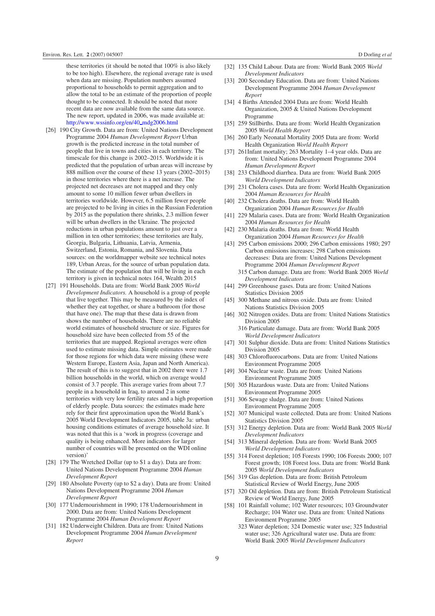these territories (it should be noted that 100% is also likely to be too high). Elsewhere, the regional average rate is used when data are missing. Population numbers assumed proportional to households to permit aggregation and to allow the total to be an estimate of the proportion of people thought to be connected. It should be noted that more recent data are now available from the same data source. The new report, updated in 2006, was made available at: [http://www.wssinfo.org/en/40](http://www.wssinfo.org/en/40_mdg2006.html) [mdg2006.html](http://www.wssinfo.org/en/40_mdg2006.html)

- <span id="page-8-0"></span>[26] 190 City Growth. Data are from: United Nations Development Programme 2004 *Human Development Report* Urban growth is the predicted increase in the total number of people that live in towns and cities in each territory. The timescale for this change is 2002–2015. Worldwide it is predicted that the population of urban areas will increase by 888 million over the course of these 13 years (2002–2015) in those territories where there is a net increase. The projected net decreases are not mapped and they only amount to some 10 million fewer urban dwellers in territories worldwide. However, 6.5 million fewer people are projected to be living in cities in the Russian Federation by 2015 as the population there shrinks, 2.3 million fewer will be urban dwellers in the Ukraine. The projected reductions in urban populations amount to just over a million in ten other territories; these territories are Italy, Georgia, Bulgaria, Lithuania, Latvia, Armenia, Switzerland, Estonia, Romania, and Slovenia. Data sources: on the worldmapper website see technical notes 189, Urban Areas, for the source of urban population data. The estimate of the population that will be living in each territory is given in technical notes 164, Wealth 2015
- <span id="page-8-1"></span>[27] 191 Households. Data are from: World Bank 2005 *World Development Indicators.* A household is a group of people that live together. This may be measured by the index of whether they eat together, or share a bathroom (for those that have one). The map that these data is drawn from shows the number of households. There are no reliable world estimates of household structure or size. Figures for household size have been collected from 55 of the territories that are mapped. Regional averages were often used to estimate missing data. Simple estimates were made for those regions for which data were missing (these were Western Europe, Eastern Asia, Japan and North America). The result of this is to suggest that in 2002 there were 1.7 billion households in the world, which on average would consist of 3.7 people. This average varies from about 7.7 people in a household in Iraq, to around 2 in some territories with very low fertility rates and a high proportion of elderly people. Data sources: the estimates made here rely for their first approximation upon the World Bank's 2005 World Development Indicators 2005, table 3a: urban housing conditions estimates of average household size. It was noted that this is a 'work in progress (coverage and quality is being enhanced. More indicators for larger number of countries will be presented on the WDI online version)'
- <span id="page-8-4"></span><span id="page-8-3"></span><span id="page-8-2"></span>[28] 179 The Wretched Dollar (up to \$1 a day). Data are from: United Nations Development Programme 2004 *Human Development Report*
- <span id="page-8-5"></span>[29] 180 Absolute Poverty (up to \$2 a day). Data are from: United Nations Development Programme 2004 *Human Development Report*
- [30] 177 Undernourishment in 1990; 178 Undernourishment in 2000. Data are from: United Nations Development Programme 2004 *Human Development Report*
- [31] 182 Underweight Children. Data are from: United Nations Development Programme 2004 *Human Development Report*
- <span id="page-8-9"></span><span id="page-8-8"></span><span id="page-8-7"></span><span id="page-8-6"></span>[32] 135 Child Labour. Data are from: World Bank 2005 *World Development Indicators*
- <span id="page-8-10"></span>[33] 200 Secondary Education. Data are from: United Nations Development Programme 2004 *Human Development Report*
- <span id="page-8-11"></span>[34] 4 Births Attended 2004 Data are from: World Health Organization, 2005 & United Nations Development Programme
- <span id="page-8-12"></span>[35] 259 Stillbirths. Data are from: World Health Organization 2005 *World Health Report*
- <span id="page-8-13"></span>[36] 260 Early Neonatal Mortality 2005 Data are from: World Health Organization *World Health Report*
- <span id="page-8-14"></span>[37] 261Infant mortality; 263 Mortality 1-4 year olds. Data are from: United Nations Development Programme 2004 *Human Development Report*
- <span id="page-8-16"></span><span id="page-8-15"></span>[38] 233 Childhood diarrhea. Data are from: World Bank 2005 *World Development Indicators*
- <span id="page-8-17"></span>[39] 231 Cholera cases. Data are from: World Health Organization 2004 *Human Resources for Health*
- [40] 232 Cholera deaths. Data are from: World Health Organization 2004 *Human Resources for Health*
- [41] 229 Malaria cases. Data are from: World Health Organization 2004 *Human Resources for Health*
- [42] 230 Malaria deaths. Data are from: World Health Organization 2004 *Human Resources for Health*
- <span id="page-8-20"></span><span id="page-8-19"></span><span id="page-8-18"></span>[43] 295 Carbon emissions 2000; 296 Carbon emissions 1980; 297 Carbon emissions increases; 298 Carbon emissions decreases: Data are from: United Nations Development Programme 2004 *Human Development Report*
	- 315 Carbon damage. Data are from: World Bank 2005 *World Development Indicators*
- [44] 299 Greenhouse gases. Data are from: United Nations Statistics Division 2005
- <span id="page-8-22"></span><span id="page-8-21"></span>[45] 300 Methane and nitrous oxide. Data are from: United Nations Statistics Division 2005
- <span id="page-8-23"></span>[46] 302 Nitrogen oxides. Data are from: United Nations Statistics Division 2005
	- 316 Particulate damage. Data are from: World Bank 2005 *World Development Indicators*
- <span id="page-8-25"></span><span id="page-8-24"></span>[47] 301 Sulphur dioxide. Data are from: United Nations Statistics Division 2005
- <span id="page-8-26"></span>[48] 303 Chlorofluorocarbons. Data are from: United Nations Environment Programme 2005
- [49] 304 Nuclear waste. Data are from: United Nations Environment Programme 2005
- <span id="page-8-27"></span>[50] 305 Hazardous waste. Data are from: United Nations Environment Programme 2005
- <span id="page-8-29"></span><span id="page-8-28"></span>[51] 306 Sewage sludge. Data are from: United Nations Environment Programme 2005
- [52] 307 Municipal waste collected. Data are from: United Nations Statistics Division 2005
- <span id="page-8-30"></span>[53] 312 Energy depletion. Data are from: World Bank 2005 *World Development Indicators*
- <span id="page-8-32"></span><span id="page-8-31"></span>[54] 313 Mineral depletion. Data are from: World Bank 2005 *World Development Indicators*
- [55] 314 Forest depletion; 105 Forests 1990; 106 Forests 2000; 107 Forest growth; 108 Forest loss. Data are from: World Bank 2005 *World Development Indicators*
- [56] 319 Gas depletion. Data are from: British Petroleum Statistical Review of World Energy, June 2005
- [57] 320 Oil depletion. Data are from: British Petroleum Statistical Review of World Energy, June 2005
- [58] 101 Rainfall volume; 102 Water resources; 103 Groundwater Recharge; 104 Water use. Data are from: United Nations Environment Programme 2005
	- 323 Water depletion; 324 Domestic water use; 325 Industrial water use; 326 Agricultural water use. Data are from: World Bank 2005 *World Development Indicators*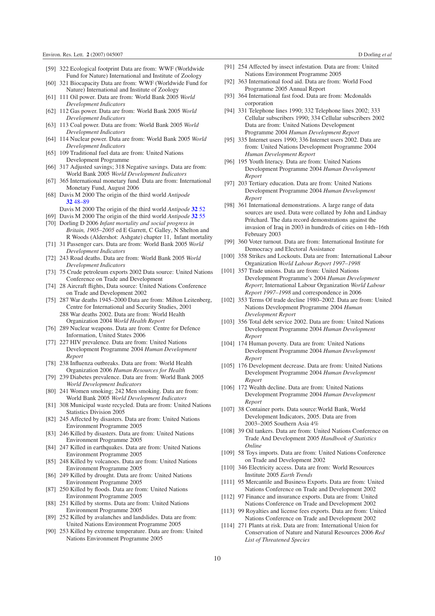- <span id="page-9-4"></span><span id="page-9-3"></span><span id="page-9-2"></span><span id="page-9-1"></span><span id="page-9-0"></span>[59] 322 Ecological footprint Data are from: WWF (Worldwide Fund for Nature) International and Institute of Zoology
- <span id="page-9-5"></span>[60] 321 Biocapacity Data are from: WWF (Worldwide Fund for Nature) International and Institute of Zoology
- <span id="page-9-6"></span>[61] 111 Oil power. Data are from: World Bank 2005 *World Development Indicators*
- <span id="page-9-7"></span>[62] 112 Gas power. Data are from: World Bank 2005 *World Development Indicators*
- <span id="page-9-8"></span>[63] 113 Coal power. Data are from: World Bank 2005 *World Development Indicators*
- <span id="page-9-9"></span>[64] 114 Nuclear power. Data are from: World Bank 2005 *World Development Indicators*
- [65] 109 Traditional fuel data are from: United Nations Development Programme
- <span id="page-9-11"></span><span id="page-9-10"></span>[66] 317 Adjusted savings; 318 Negative savings. Data are from: World Bank 2005 *World Development Indicators*
- [67] 365 International monetary fund. Data are from: International Monetary Fund, August 2006
- <span id="page-9-12"></span>[68] Davis M 2000 The origin of the third world *Antipode* **32** [48–89](http://dx.doi.org/10.1111/1467-8330.00119)
	- Davis M 2000 The origin of the third world *Antipode* **[32](http://dx.doi.org/10.1111/1467-8330.00119)** 52
- <span id="page-9-14"></span><span id="page-9-13"></span>[69] Davis M 2000 The origin of the third world *Antipode* **[32](http://dx.doi.org/10.1111/1467-8330.00119)** 55 [70] Dorling D 2006 *Infant mortality and social progress in Britain, 1905–2005* ed E Garrett, C Galley, N Shelton and
- <span id="page-9-16"></span><span id="page-9-15"></span>R Woods (Aldershot: Ashgate) chapter 11, Infant mortality [71] 31 Passenger cars. Data are from: World Bank 2005 *World Development Indicators*
- [72] 243 Road deaths. Data are from: World Bank 2005 *World Development Indicators*
- <span id="page-9-17"></span>[73] 75 Crude petroleum exports 2002 Data source: United Nations Conference on Trade and Development
- <span id="page-9-18"></span>[74] 28 Aircraft flights, Data source: United Nations Conference on Trade and Development 2002
- <span id="page-9-19"></span>[75] 287 War deaths 1945–2000 Data are from: Milton Leitenberg, Centre for International and Security Studies, 2001 288 War deaths 2002. Data are from: World Health Organization 2004 *World Health Report*
- <span id="page-9-20"></span>[76] 289 Nuclear weapons. Data are from: Centre for Defence Information, United States 2006
- <span id="page-9-21"></span>[77] 227 HIV prevalence. Data are from: United Nations Development Programme 2004 *Human Development Report*
- <span id="page-9-23"></span><span id="page-9-22"></span>[78] 238 Influenza outbreaks. Data are from: World Health Organization 2006 *Human Resources for Health*
- <span id="page-9-24"></span>[79] 239 Diabetes prevalence. Data are from: World Bank 2005 *World Development Indicators*
- <span id="page-9-25"></span>[80] 241 Women smoking; 242 Men smoking. Data are from: World Bank 2005 *World Development Indicators*
- <span id="page-9-26"></span>[81] 308 Municipal waste recycled. Data are from: United Nations Statistics Division 2005
- <span id="page-9-27"></span>[82] 245 Affected by disasters. Data are from: United Nations Environment Programme 2005
- <span id="page-9-28"></span>[83] 246 Killed by disasters. Data are from: United Nations Environment Programme 2005
- [84] 247 Killed in earthquakes. Data are from: United Nations Environment Programme 2005
- <span id="page-9-30"></span><span id="page-9-29"></span>[85] 248 Killed by volcanoes. Data are from: United Nations Environment Programme 2005
- <span id="page-9-31"></span>[86] 249 Killed by drought. Data are from: United Nations Environment Programme 2005
- [87] 250 Killed by floods. Data are from: United Nations Environment Programme 2005
- [88] 251 Killed by storms. Data are from: United Nations Environment Programme 2005
- [89] 252 Killed by avalanches and landslides. Data are from: United Nations Environment Programme 2005
- [90] 253 Killed by extreme temperature. Data are from: United Nations Environment Programme 2005
- <span id="page-9-35"></span><span id="page-9-34"></span><span id="page-9-33"></span><span id="page-9-32"></span>[91] 254 Affected by insect infestation. Data are from: United Nations Environment Programme 2005
- [92] 363 International food aid. Data are from: World Food Programme 2005 Annual Report
- <span id="page-9-36"></span>[93] 364 International fast food. Data are from: Mcdonalds corporation
- <span id="page-9-37"></span>[94] 331 Telephone lines 1990; 332 Telephone lines 2002; 333 Cellular subscribers 1990; 334 Cellular subscribers 2002 Data are from: United Nations Development Programme 2004 *Human Development Report*
- <span id="page-9-38"></span>[95] 335 Internet users 1990; 336 Internet users 2002. Data are from: United Nations Development Programme 2004 *Human Development Report*
- <span id="page-9-39"></span>[96] 195 Youth literacy. Data are from: United Nations Development Programme 2004 *Human Development Report*
- <span id="page-9-40"></span>[97] 203 Tertiary education. Data are from: United Nations Development Programme 2004 *Human Development Report*
- <span id="page-9-42"></span><span id="page-9-41"></span>[98] 361 International demonstrations. A large range of data sources are used. Data were collated by John and Lindsay Pritchard. The data record demonstrations against the invasion of Iraq in 2003 in hundreds of cities on 14th–16th February 2003
- [99] 360 Voter turnout. Data are from: International Institute for Democracy and Electoral Assistance
- <span id="page-9-43"></span>[100] 358 Strikes and Lockouts. Data are from: International Labour Organization *World Labour Report 1997–1998*
- <span id="page-9-44"></span>[101] 357 Trade unions. Data are from: United Nations Development Programme's 2004 *Human Development Report*; International Labour Organization *World Labour Report 1997–1998* and correspondence in 2006
- <span id="page-9-45"></span>[102] 353 Terms Of trade decline 1980–2002. Data are from: United Nations Development Programme 2004 *Human Development Report*
- <span id="page-9-46"></span>[103] 356 Total debt service 2002. Data are from: United Nations Development Programme 2004 *Human Development Report*
- <span id="page-9-47"></span>[104] 174 Human poverty. Data are from: United Nations Development Programme 2004 *Human Development Report*
- <span id="page-9-48"></span>[105] 176 Development decrease. Data are from: United Nations Development Programme 2004 *Human Development Report*
- <span id="page-9-49"></span>[106] 172 Wealth decline. Data are from: United Nations Development Programme 2004 *Human Development Report*
- <span id="page-9-51"></span><span id="page-9-50"></span>[107] 38 Container ports. Data source:World Bank, World Development Indicators, 2005. Data are from 2003–2005 Southern Asia 4%
- <span id="page-9-52"></span>[108] 39 Oil tankers. Data are from: United Nations Conference on Trade And Development 2005 *Handbook of Statistics Online*
- <span id="page-9-54"></span><span id="page-9-53"></span>[109] 58 Toys imports. Data are from: United Nations Conference on Trade and Development 2002
- [110] 346 Electricity access. Data are from: World Resources Institute 2005 *Earth Trends*
- <span id="page-9-55"></span>[111] 95 Mercantile and Business Exports. Data are from: United Nations Conference on Trade and Development 2002
- [112] 97 Finance and insurance exports. Data are from: United Nations Conference on Trade and Development 2002
- [113] 99 Royalties and license fees exports. Data are from: United Nations Conference on Trade and Development 2002
- [114] 271 Plants at risk. Data are from: International Union for Conservation of Nature and Natural Resources 2006 *Red List of Threatened Species*